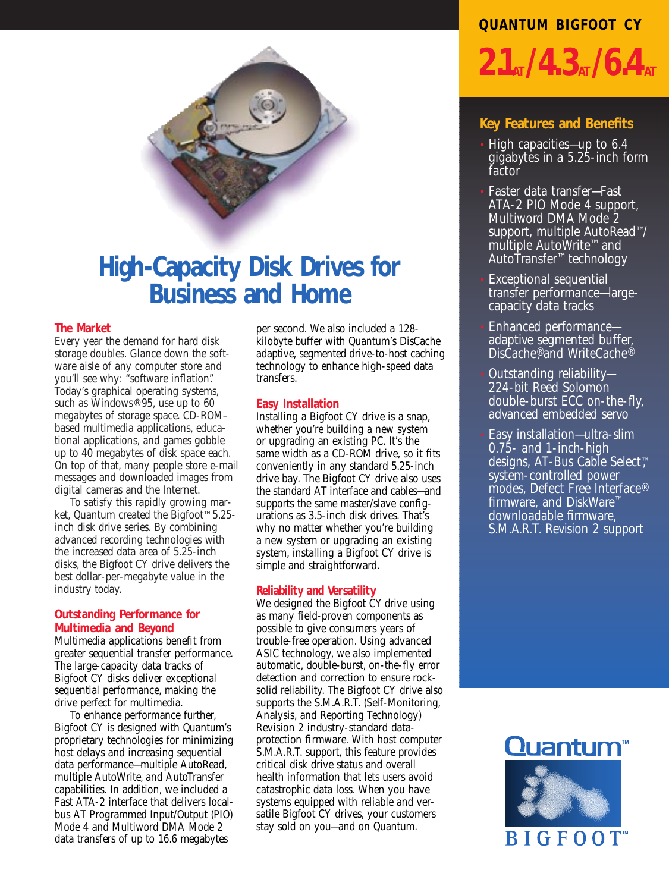

## **High-Capacity Disk Drives for Business and Home**

## **The Market**

Every year the demand for hard disk storage doubles. Glance down the software aisle of any computer store and you'll see why: "software inflation". Today's graphical operating systems, such as Windows<sup>®</sup> 95, use up to 60 megabytes of storage space. CD-ROM– based multimedia applications, educational applications, and games gobble up to 40 megabytes of disk space each. On top of that, many people store e-mail messages and downloaded images from digital cameras and the Internet.

To satisfy this rapidly growing market, Quantum created the Bigfoot™ 5.25 inch disk drive series. By combining advanced recording technologies with the increased data area of 5.25-inch disks, the Bigfoot CY drive delivers the best dollar-per-megabyte value in the industry today.

## **Outstanding Performance for Multimedia and Beyond**

Multimedia applications benefit from greater sequential transfer performance. The large-capacity data tracks of Bigfoot CY disks deliver exceptional sequential performance, making the drive perfect for multimedia.

To enhance performance further, Bigfoot CY is designed with Quantum's proprietary technologies for minimizing host delays and increasing sequential data performance—multiple AutoRead, multiple AutoWrite, and AutoTransfer capabilities. In addition, we included a Fast ATA-2 interface that delivers localbus AT Programmed Input/Output (PIO) Mode 4 and Multiword DMA Mode 2 data transfers of up to 16.6 megabytes

per second. We also included a 128 kilobyte buffer with Quantum's DisCache adaptive, segmented drive-to-host caching technology to enhance high-speed data transfers.

## **Easy Installation**

Installing a Bigfoot CY drive is a snap, whether you're building a new system or upgrading an existing PC. It's the same width as a CD-ROM drive, so it fits conveniently in any standard 5.25-inch drive bay. The Bigfoot CY drive also uses the standard AT interface and cables—and supports the same master/slave configurations as 3.5-inch disk drives. That's why no matter whether you're building a new system or upgrading an existing system, installing a Bigfoot CY drive is simple and straightforward.

### **Reliability and Versatility**

We designed the Bigfoot CY drive using as many field-proven components as possible to give consumers years of trouble-free operation. Using advanced ASIC technology, we also implemented automatic, double-burst, on-the-fly error detection and correction to ensure rocksolid reliability. The Bigfoot CY drive also supports the S.M.A.R.T. (Self-Monitoring, Analysis, and Reporting Technology) Revision 2 industry-standard dataprotection firmware. With host computer S.M.A.R.T. support, this feature provides critical disk drive status and overall health information that lets users avoid catastrophic data loss. When you have systems equipped with reliable and versatile Bigfoot CY drives, your customers stay sold on you—and on Quantum.

# **QUANTUM BIGFOOT CY**  $2.1_A/4.3_A/6.4_A$

## **Key Features and Benefits**

- High capacities—up to 6.4 gigabytes in a 5.25-inch form factor
- Faster data transfer—Fast ATA-2 PIO Mode 4 support, Multiword DMA Mode 2 support, multiple AutoRead™/ multiple AutoWrite™ and AutoTransfer™ technology
- Exceptional sequential transfer performance—largecapacity data tracks
- Enhanced performance adaptive segmented buffer, DisCache®, and WriteCache®
- Outstanding reliability— 224-bit Reed Solomon double-burst ECC on-the-fly, advanced embedded servo
- Easy installation—ultra-slim 0.75- and 1-inch-high designs, AT-Bus Cable Select™ system-controlled power modes, Defect Free Interface® firmware, and DiskWare™ downloadable firmware, S.M.A.R.T. Revision 2 support